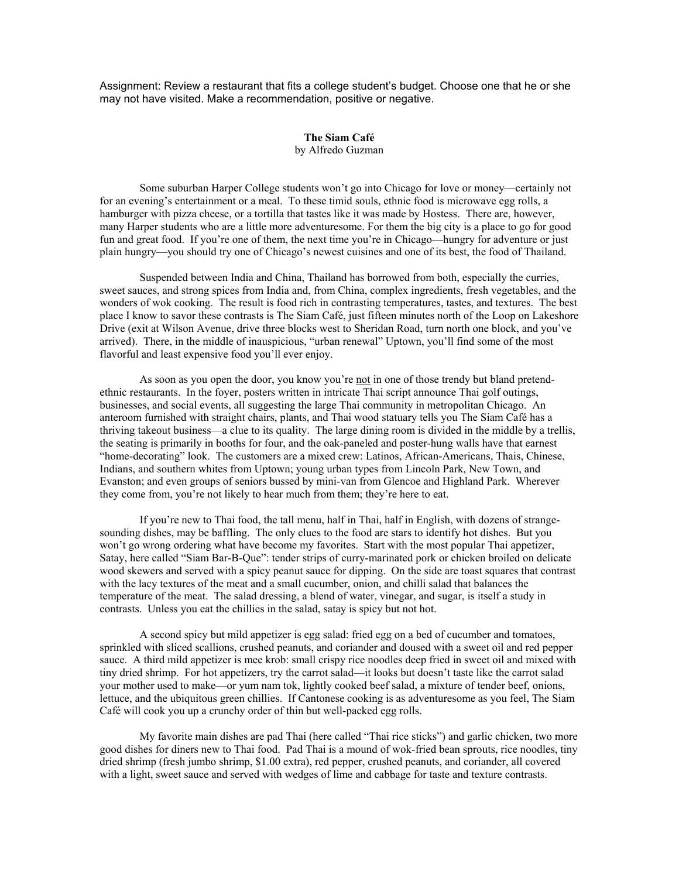Assignment: Review a restaurant that fits a college student's budget. Choose one that he or she may not have visited. Make a recommendation, positive or negative.

## **The Siam Café**  by Alfredo Guzman

 Some suburban Harper College students won't go into Chicago for love or money—certainly not for an evening's entertainment or a meal. To these timid souls, ethnic food is microwave egg rolls, a hamburger with pizza cheese, or a tortilla that tastes like it was made by Hostess. There are, however, many Harper students who are a little more adventuresome. For them the big city is a place to go for good fun and great food. If you're one of them, the next time you're in Chicago—hungry for adventure or just plain hungry—you should try one of Chicago's newest cuisines and one of its best, the food of Thailand.

 Suspended between India and China, Thailand has borrowed from both, especially the curries, sweet sauces, and strong spices from India and, from China, complex ingredients, fresh vegetables, and the wonders of wok cooking. The result is food rich in contrasting temperatures, tastes, and textures. The best place I know to savor these contrasts is The Siam Café, just fifteen minutes north of the Loop on Lakeshore Drive (exit at Wilson Avenue, drive three blocks west to Sheridan Road, turn north one block, and you've arrived). There, in the middle of inauspicious, "urban renewal" Uptown, you'll find some of the most flavorful and least expensive food you'll ever enjoy.

 As soon as you open the door, you know you're not in one of those trendy but bland pretendethnic restaurants. In the foyer, posters written in intricate Thai script announce Thai golf outings, businesses, and social events, all suggesting the large Thai community in metropolitan Chicago. An anteroom furnished with straight chairs, plants, and Thai wood statuary tells you The Siam Café has a thriving takeout business—a clue to its quality. The large dining room is divided in the middle by a trellis, the seating is primarily in booths for four, and the oak-paneled and poster-hung walls have that earnest "home-decorating" look. The customers are a mixed crew: Latinos, African-Americans, Thais, Chinese, Indians, and southern whites from Uptown; young urban types from Lincoln Park, New Town, and Evanston; and even groups of seniors bussed by mini-van from Glencoe and Highland Park. Wherever they come from, you're not likely to hear much from them; they're here to eat.

 If you're new to Thai food, the tall menu, half in Thai, half in English, with dozens of strangesounding dishes, may be baffling. The only clues to the food are stars to identify hot dishes. But you won't go wrong ordering what have become my favorites. Start with the most popular Thai appetizer, Satay, here called "Siam Bar-B-Que": tender strips of curry-marinated pork or chicken broiled on delicate wood skewers and served with a spicy peanut sauce for dipping. On the side are toast squares that contrast with the lacy textures of the meat and a small cucumber, onion, and chilli salad that balances the temperature of the meat. The salad dressing, a blend of water, vinegar, and sugar, is itself a study in contrasts. Unless you eat the chillies in the salad, satay is spicy but not hot.

 A second spicy but mild appetizer is egg salad: fried egg on a bed of cucumber and tomatoes, sprinkled with sliced scallions, crushed peanuts, and coriander and doused with a sweet oil and red pepper sauce. A third mild appetizer is mee krob: small crispy rice noodles deep fried in sweet oil and mixed with tiny dried shrimp. For hot appetizers, try the carrot salad—it looks but doesn't taste like the carrot salad your mother used to make—or yum nam tok, lightly cooked beef salad, a mixture of tender beef, onions, lettuce, and the ubiquitous green chillies. If Cantonese cooking is as adventuresome as you feel, The Siam Café will cook you up a crunchy order of thin but well-packed egg rolls.

 My favorite main dishes are pad Thai (here called "Thai rice sticks") and garlic chicken, two more good dishes for diners new to Thai food. Pad Thai is a mound of wok-fried bean sprouts, rice noodles, tiny dried shrimp (fresh jumbo shrimp, \$1.00 extra), red pepper, crushed peanuts, and coriander, all covered with a light, sweet sauce and served with wedges of lime and cabbage for taste and texture contrasts.